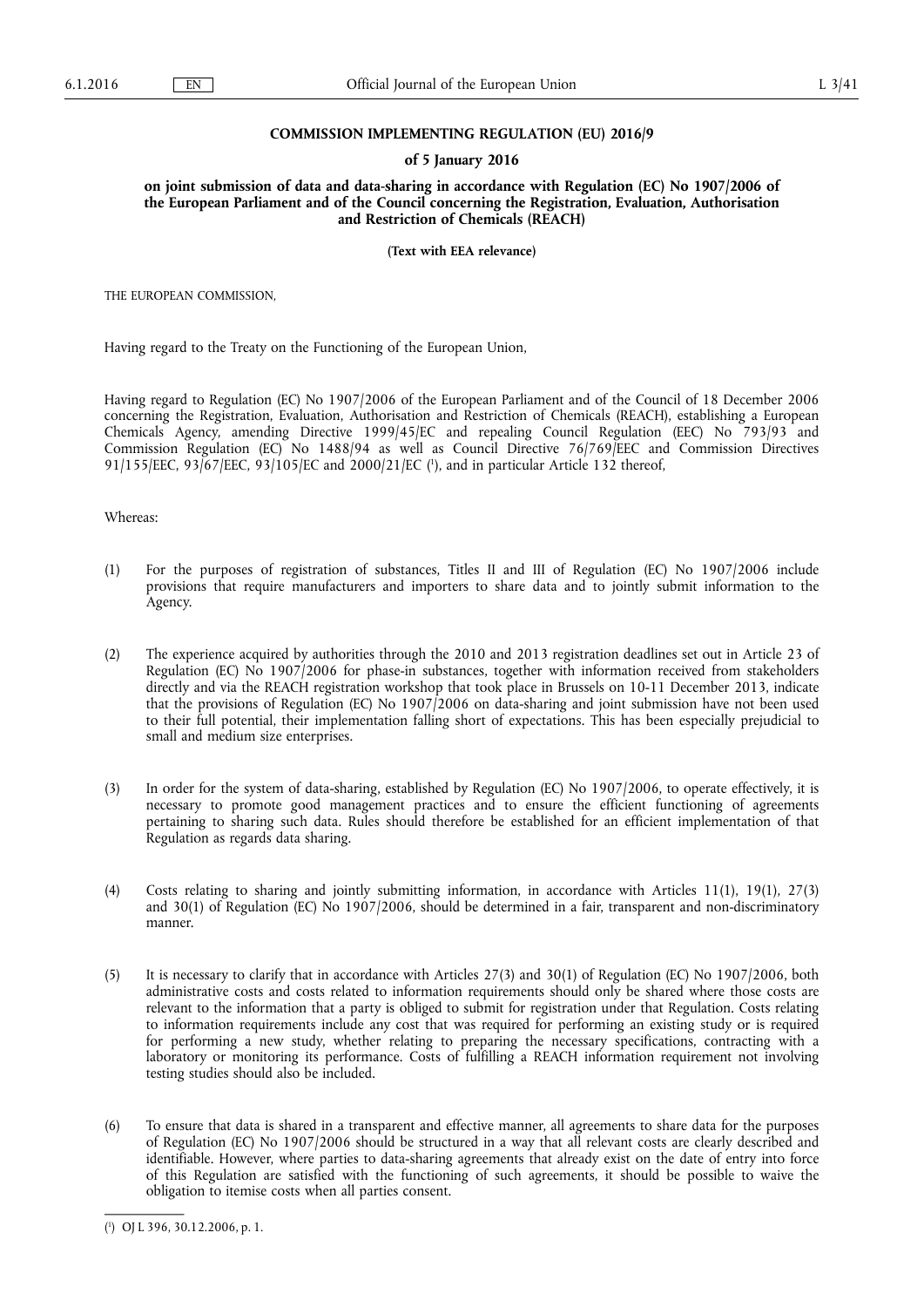# **COMMISSION IMPLEMENTING REGULATION (EU) 2016/9**

# **of 5 January 2016**

**on joint submission of data and data-sharing in accordance with Regulation (EC) No 1907/2006 of the European Parliament and of the Council concerning the Registration, Evaluation, Authorisation and Restriction of Chemicals (REACH)** 

**(Text with EEA relevance)** 

THE EUROPEAN COMMISSION,

Having regard to the Treaty on the Functioning of the European Union,

Having regard to Regulation (EC) No 1907/2006 of the European Parliament and of the Council of 18 December 2006 concerning the Registration, Evaluation, Authorisation and Restriction of Chemicals (REACH), establishing a European Chemicals Agency, amending Directive 1999/45/EC and repealing Council Regulation (EEC) No 793/93 and Commission Regulation (EC) No 1488/94 as well as Council Directive 76/769/EEC and Commission Directives 91/155/EEC, 93/67/EEC, 93/105/EC and 2000/21/EC ( 1 ), and in particular Article 132 thereof,

Whereas:

- (1) For the purposes of registration of substances, Titles II and III of Regulation (EC) No 1907/2006 include provisions that require manufacturers and importers to share data and to jointly submit information to the Agency.
- (2) The experience acquired by authorities through the 2010 and 2013 registration deadlines set out in Article 23 of Regulation (EC) No 1907/2006 for phase-in substances, together with information received from stakeholders directly and via the REACH registration workshop that took place in Brussels on 10-11 December 2013, indicate that the provisions of Regulation (EC) No 1907/2006 on data-sharing and joint submission have not been used to their full potential, their implementation falling short of expectations. This has been especially prejudicial to small and medium size enterprises.
- (3) In order for the system of data-sharing, established by Regulation (EC) No 1907/2006, to operate effectively, it is necessary to promote good management practices and to ensure the efficient functioning of agreements pertaining to sharing such data. Rules should therefore be established for an efficient implementation of that Regulation as regards data sharing.
- (4) Costs relating to sharing and jointly submitting information, in accordance with Articles 11(1), 19(1), 27(3) and 30(1) of Regulation (EC) No 1907/2006, should be determined in a fair, transparent and non-discriminatory manner.
- (5) It is necessary to clarify that in accordance with Articles 27(3) and 30(1) of Regulation (EC) No 1907/2006, both administrative costs and costs related to information requirements should only be shared where those costs are relevant to the information that a party is obliged to submit for registration under that Regulation. Costs relating to information requirements include any cost that was required for performing an existing study or is required for performing a new study, whether relating to preparing the necessary specifications, contracting with a laboratory or monitoring its performance. Costs of fulfilling a REACH information requirement not involving testing studies should also be included.
- (6) To ensure that data is shared in a transparent and effective manner, all agreements to share data for the purposes of Regulation (EC) No 1907/2006 should be structured in a way that all relevant costs are clearly described and identifiable. However, where parties to data-sharing agreements that already exist on the date of entry into force of this Regulation are satisfied with the functioning of such agreements, it should be possible to waive the obligation to itemise costs when all parties consent.

<sup>(</sup> 1 ) OJ L 396, 30.12.2006, p. 1.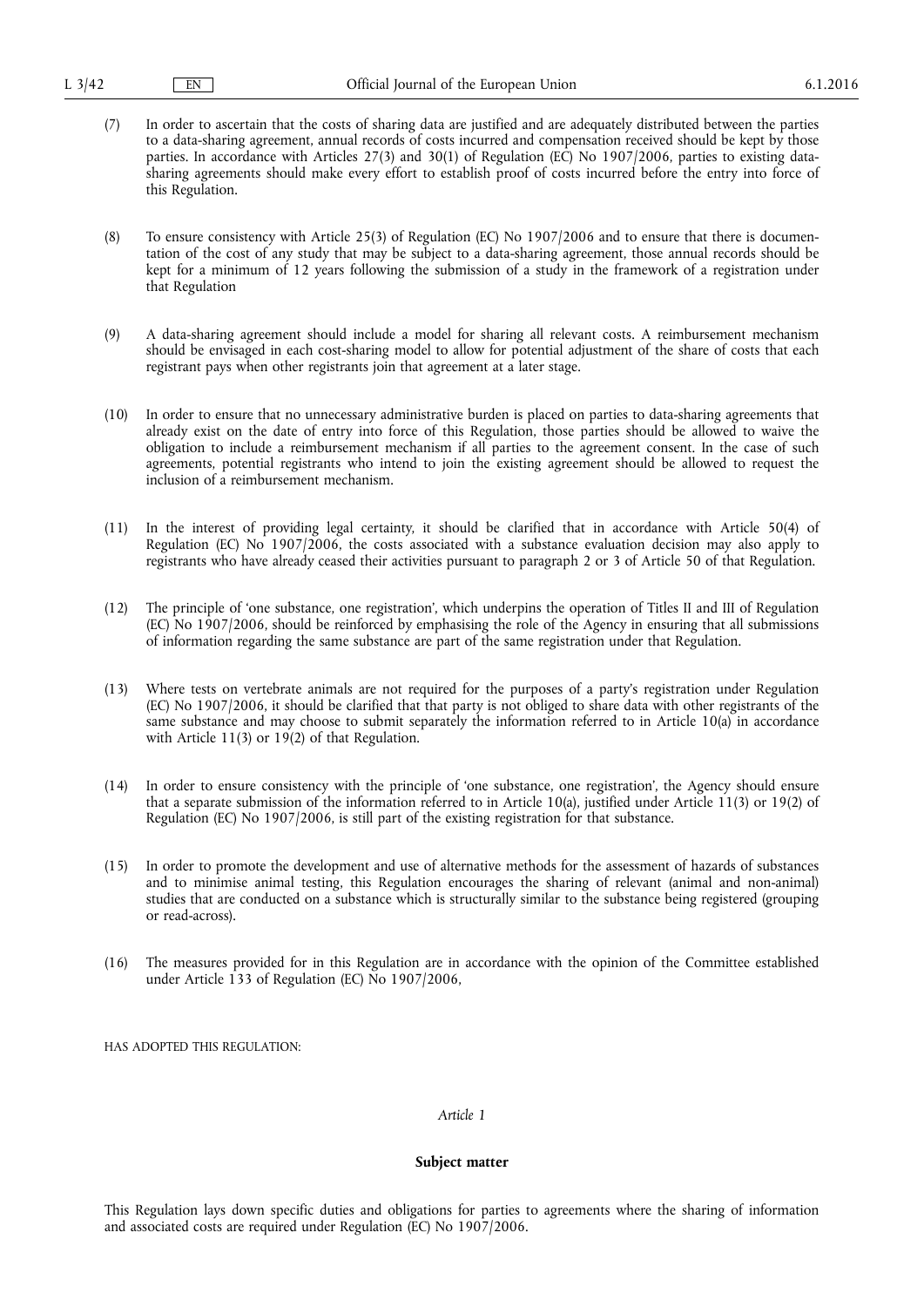(7) In order to ascertain that the costs of sharing data are justified and are adequately distributed between the parties to a data-sharing agreement, annual records of costs incurred and compensation received should be kept by those parties. In accordance with Articles 27(3) and 30(1) of Regulation (EC) No 1907/2006, parties to existing datasharing agreements should make every effort to establish proof of costs incurred before the entry into force of this Regulation.

(8) To ensure consistency with Article 25(3) of Regulation (EC) No 1907/2006 and to ensure that there is documentation of the cost of any study that may be subject to a data-sharing agreement, those annual records should be kept for a minimum of 12 years following the submission of a study in the framework of a registration under that Regulation

- (9) A data-sharing agreement should include a model for sharing all relevant costs. A reimbursement mechanism should be envisaged in each cost-sharing model to allow for potential adjustment of the share of costs that each registrant pays when other registrants join that agreement at a later stage.
- (10) In order to ensure that no unnecessary administrative burden is placed on parties to data-sharing agreements that already exist on the date of entry into force of this Regulation, those parties should be allowed to waive the obligation to include a reimbursement mechanism if all parties to the agreement consent. In the case of such agreements, potential registrants who intend to join the existing agreement should be allowed to request the inclusion of a reimbursement mechanism.
- (11) In the interest of providing legal certainty, it should be clarified that in accordance with Article 50(4) of Regulation (EC) No 1907/2006, the costs associated with a substance evaluation decision may also apply to registrants who have already ceased their activities pursuant to paragraph 2 or 3 of Article 50 of that Regulation.
- (12) The principle of 'one substance, one registration', which underpins the operation of Titles II and III of Regulation (EC) No 1907/2006, should be reinforced by emphasising the role of the Agency in ensuring that all submissions of information regarding the same substance are part of the same registration under that Regulation.
- (13) Where tests on vertebrate animals are not required for the purposes of a party's registration under Regulation (EC) No 1907/2006, it should be clarified that that party is not obliged to share data with other registrants of the same substance and may choose to submit separately the information referred to in Article 10(a) in accordance with Article 11(3) or  $19(2)$  of that Regulation.
- (14) In order to ensure consistency with the principle of 'one substance, one registration', the Agency should ensure that a separate submission of the information referred to in Article 10(a), justified under Article 11(3) or 19(2) of Regulation (EC) No 1907/2006, is still part of the existing registration for that substance.
- (15) In order to promote the development and use of alternative methods for the assessment of hazards of substances and to minimise animal testing, this Regulation encourages the sharing of relevant (animal and non-animal) studies that are conducted on a substance which is structurally similar to the substance being registered (grouping or read-across).
- (16) The measures provided for in this Regulation are in accordance with the opinion of the Committee established under Article 133 of Regulation (EC) No 1907/2006,

HAS ADOPTED THIS REGULATION:

# *Article 1*

# **Subject matter**

This Regulation lays down specific duties and obligations for parties to agreements where the sharing of information and associated costs are required under Regulation (EC) No 1907/2006.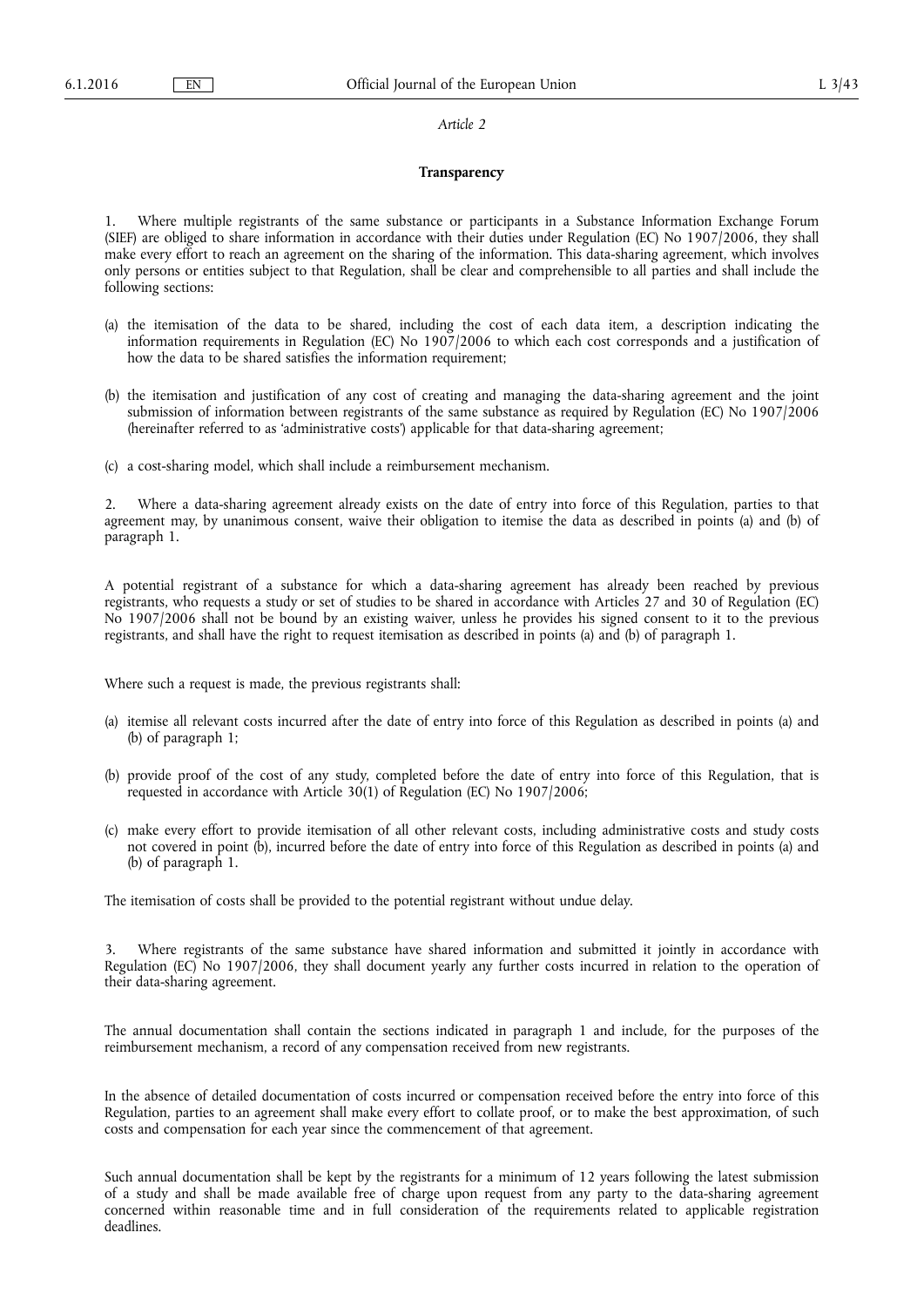# *Article 2*

## **Transparency**

1. Where multiple registrants of the same substance or participants in a Substance Information Exchange Forum (SIEF) are obliged to share information in accordance with their duties under Regulation (EC) No 1907/2006, they shall make every effort to reach an agreement on the sharing of the information. This data-sharing agreement, which involves only persons or entities subject to that Regulation, shall be clear and comprehensible to all parties and shall include the following sections:

- (a) the itemisation of the data to be shared, including the cost of each data item, a description indicating the information requirements in Regulation (EC) No 1907/2006 to which each cost corresponds and a justification of how the data to be shared satisfies the information requirement;
- (b) the itemisation and justification of any cost of creating and managing the data-sharing agreement and the joint submission of information between registrants of the same substance as required by Regulation (EC) No 1907/2006 (hereinafter referred to as 'administrative costs') applicable for that data-sharing agreement;
- (c) a cost-sharing model, which shall include a reimbursement mechanism.

2. Where a data-sharing agreement already exists on the date of entry into force of this Regulation, parties to that agreement may, by unanimous consent, waive their obligation to itemise the data as described in points (a) and (b) of paragraph 1.

A potential registrant of a substance for which a data-sharing agreement has already been reached by previous registrants, who requests a study or set of studies to be shared in accordance with Articles 27 and 30 of Regulation (EC) No 1907/2006 shall not be bound by an existing waiver, unless he provides his signed consent to it to the previous registrants, and shall have the right to request itemisation as described in points (a) and (b) of paragraph 1.

Where such a request is made, the previous registrants shall:

- (a) itemise all relevant costs incurred after the date of entry into force of this Regulation as described in points (a) and (b) of paragraph 1;
- (b) provide proof of the cost of any study, completed before the date of entry into force of this Regulation, that is requested in accordance with Article 30(1) of Regulation (EC) No 1907/2006;
- (c) make every effort to provide itemisation of all other relevant costs, including administrative costs and study costs not covered in point (b), incurred before the date of entry into force of this Regulation as described in points (a) and (b) of paragraph 1.

The itemisation of costs shall be provided to the potential registrant without undue delay.

Where registrants of the same substance have shared information and submitted it jointly in accordance with Regulation (EC) No 1907/2006, they shall document yearly any further costs incurred in relation to the operation of their data-sharing agreement.

The annual documentation shall contain the sections indicated in paragraph 1 and include, for the purposes of the reimbursement mechanism, a record of any compensation received from new registrants.

In the absence of detailed documentation of costs incurred or compensation received before the entry into force of this Regulation, parties to an agreement shall make every effort to collate proof, or to make the best approximation, of such costs and compensation for each year since the commencement of that agreement.

Such annual documentation shall be kept by the registrants for a minimum of 12 years following the latest submission of a study and shall be made available free of charge upon request from any party to the data-sharing agreement concerned within reasonable time and in full consideration of the requirements related to applicable registration deadlines.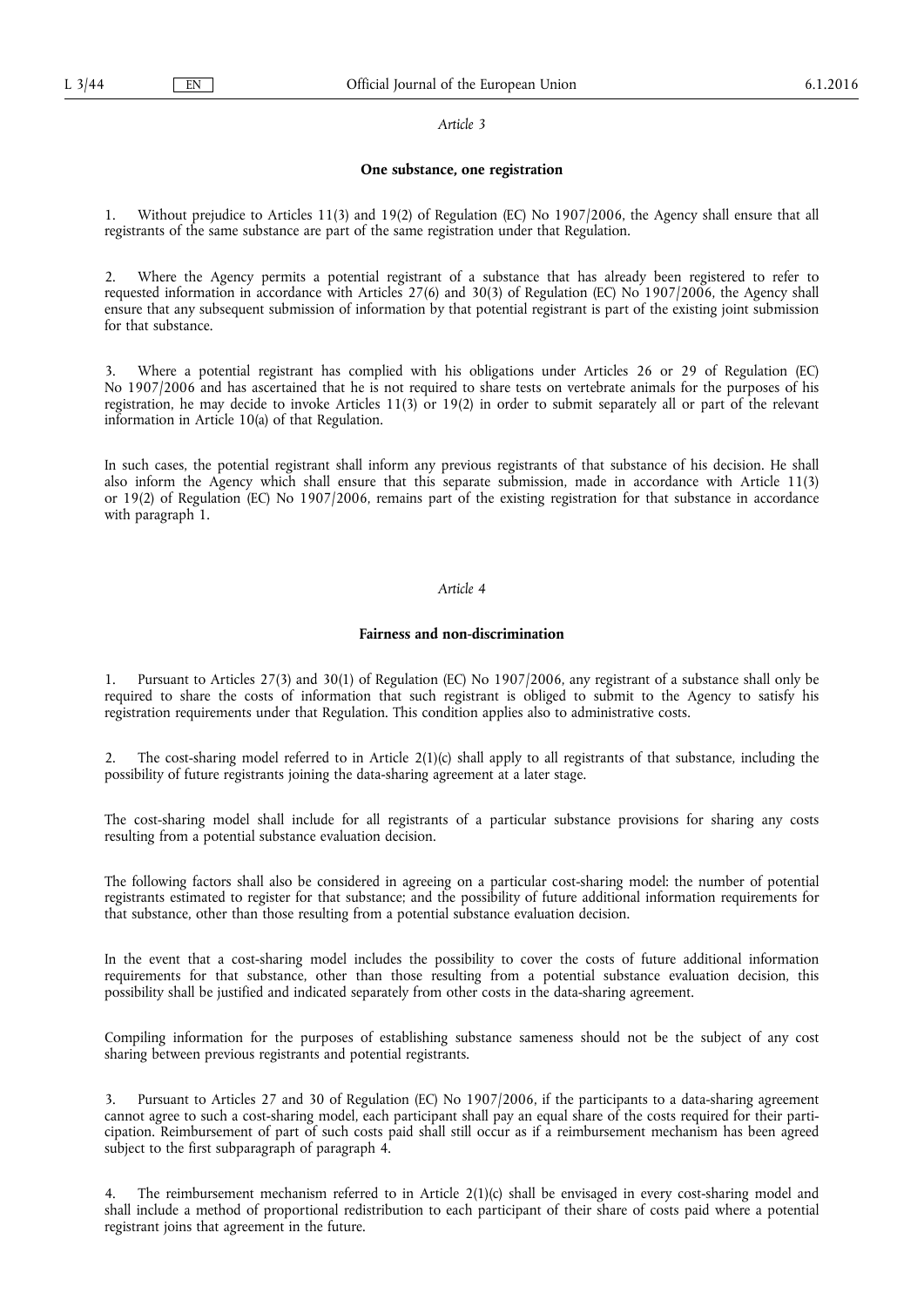### *Article 3*

#### **One substance, one registration**

1. Without prejudice to Articles 11(3) and 19(2) of Regulation (EC) No 1907/2006, the Agency shall ensure that all registrants of the same substance are part of the same registration under that Regulation.

2. Where the Agency permits a potential registrant of a substance that has already been registered to refer to requested information in accordance with Articles 27(6) and 30(3) of Regulation (EC) No 1907/2006, the Agency shall ensure that any subsequent submission of information by that potential registrant is part of the existing joint submission for that substance.

3. Where a potential registrant has complied with his obligations under Articles 26 or 29 of Regulation (EC) No 1907/2006 and has ascertained that he is not required to share tests on vertebrate animals for the purposes of his registration, he may decide to invoke Articles 11(3) or 19(2) in order to submit separately all or part of the relevant information in Article 10(a) of that Regulation.

In such cases, the potential registrant shall inform any previous registrants of that substance of his decision. He shall also inform the Agency which shall ensure that this separate submission, made in accordance with Article 11(3) or 19(2) of Regulation (EC) No 1907/2006, remains part of the existing registration for that substance in accordance with paragraph<sup>1</sup>.

# *Article 4*

## **Fairness and non-discrimination**

1. Pursuant to Articles 27(3) and 30(1) of Regulation (EC) No 1907/2006, any registrant of a substance shall only be required to share the costs of information that such registrant is obliged to submit to the Agency to satisfy his registration requirements under that Regulation. This condition applies also to administrative costs.

The cost-sharing model referred to in Article  $2(1)(c)$  shall apply to all registrants of that substance, including the possibility of future registrants joining the data-sharing agreement at a later stage.

The cost-sharing model shall include for all registrants of a particular substance provisions for sharing any costs resulting from a potential substance evaluation decision.

The following factors shall also be considered in agreeing on a particular cost-sharing model: the number of potential registrants estimated to register for that substance; and the possibility of future additional information requirements for that substance, other than those resulting from a potential substance evaluation decision.

In the event that a cost-sharing model includes the possibility to cover the costs of future additional information requirements for that substance, other than those resulting from a potential substance evaluation decision, this possibility shall be justified and indicated separately from other costs in the data-sharing agreement.

Compiling information for the purposes of establishing substance sameness should not be the subject of any cost sharing between previous registrants and potential registrants.

3. Pursuant to Articles 27 and 30 of Regulation (EC) No 1907/2006, if the participants to a data-sharing agreement cannot agree to such a cost-sharing model, each participant shall pay an equal share of the costs required for their participation. Reimbursement of part of such costs paid shall still occur as if a reimbursement mechanism has been agreed subject to the first subparagraph of paragraph 4.

4. The reimbursement mechanism referred to in Article 2(1)(c) shall be envisaged in every cost-sharing model and shall include a method of proportional redistribution to each participant of their share of costs paid where a potential registrant joins that agreement in the future.